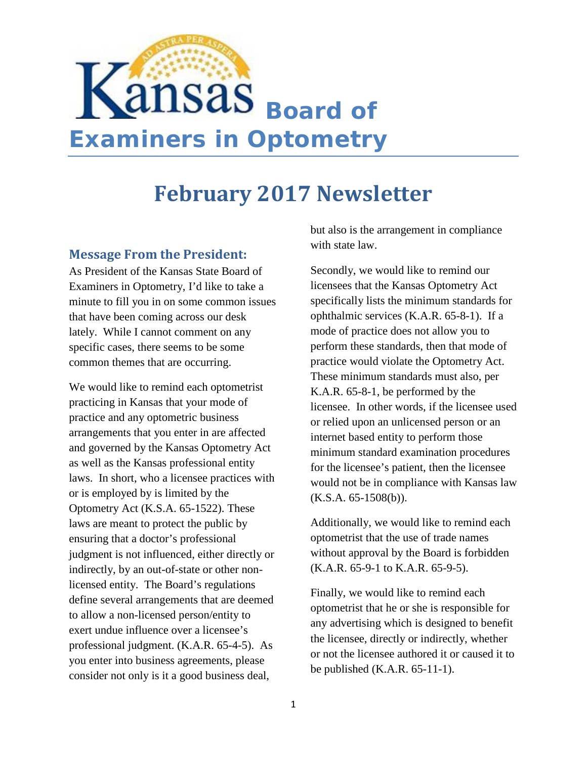

## **February 2017 Newsletter**

#### **Message From the President:**

As President of the Kansas State Board of Examiners in Optometry, I'd like to take a minute to fill you in on some common issues that have been coming across our desk lately. While I cannot comment on any specific cases, there seems to be some common themes that are occurring.

We would like to remind each optometrist practicing in Kansas that your mode of practice and any optometric business arrangements that you enter in are affected and governed by the Kansas Optometry Act as well as the Kansas professional entity laws. In short, who a licensee practices with or is employed by is limited by the Optometry Act (K.S.A. 65-1522). These laws are meant to protect the public by ensuring that a doctor's professional judgment is not influenced, either directly or indirectly, by an out-of-state or other nonlicensed entity. The Board's regulations define several arrangements that are deemed to allow a non-licensed person/entity to exert undue influence over a licensee's professional judgment. (K.A.R. 65-4-5). As you enter into business agreements, please consider not only is it a good business deal,

but also is the arrangement in compliance with state law.

Secondly, we would like to remind our licensees that the Kansas Optometry Act specifically lists the minimum standards for ophthalmic services (K.A.R. 65-8-1). If a mode of practice does not allow you to perform these standards, then that mode of practice would violate the Optometry Act. These minimum standards must also, per K.A.R. 65-8-1, be performed by the licensee. In other words, if the licensee used or relied upon an unlicensed person or an internet based entity to perform those minimum standard examination procedures for the licensee's patient, then the licensee would not be in compliance with Kansas law  $(K.S.A. 65-1508(b)).$ 

Additionally, we would like to remind each optometrist that the use of trade names without approval by the Board is forbidden (K.A.R. 65-9-1 to K.A.R. 65-9-5).

Finally, we would like to remind each optometrist that he or she is responsible for any advertising which is designed to benefit the licensee, directly or indirectly, whether or not the licensee authored it or caused it to be published (K.A.R. 65-11-1).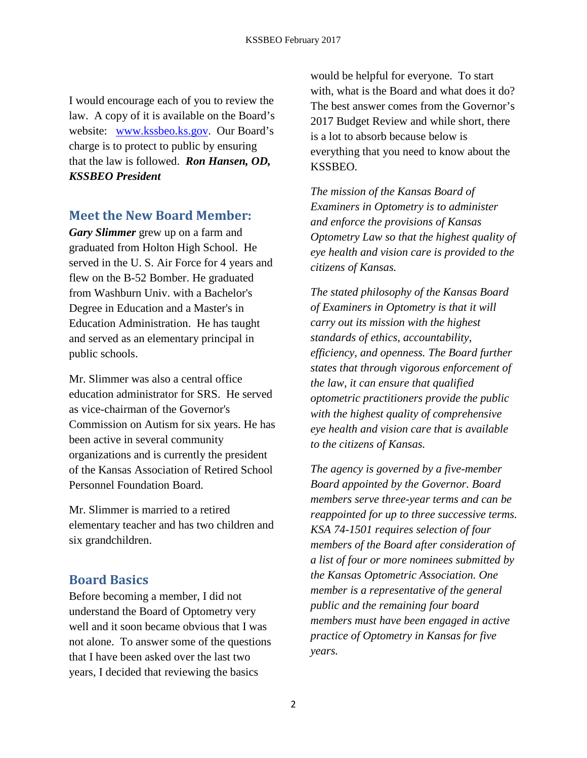I would encourage each of you to review the law. A copy of it is available on the Board's website: www.kssbeo.ks.gov. Our Board's charge is to protect to public by ensuring that the law is followed. *Ron Hansen, OD, KSSBEO President*

#### **Meet the New Board Member:**

*Gary Slimmer* grew up on a farm and graduated from Holton High School. He served in the U. S. Air Force for 4 years and flew on the B-52 Bomber. He graduated from Washburn Univ. with a Bachelor's Degree in Education and a Master's in Education Administration. He has taught and served as an elementary principal in public schools.

Mr. Slimmer was also a central office education administrator for SRS. He served as vice-chairman of the Governor's Commission on Autism for six years. He has been active in several community organizations and is currently the president of the Kansas Association of Retired School Personnel Foundation Board.

Mr. Slimmer is married to a retired elementary teacher and has two children and six grandchildren.

## **Board Basics**

Before becoming a member, I did not understand the Board of Optometry very well and it soon became obvious that I was not alone. To answer some of the questions that I have been asked over the last two years, I decided that reviewing the basics

would be helpful for everyone. To start with, what is the Board and what does it do? The best answer comes from the Governor's 2017 Budget Review and while short, there is a lot to absorb because below is everything that you need to know about the KSSBEO.

*The mission of the Kansas Board of Examiners in Optometry is to administer and enforce the provisions of Kansas Optometry Law so that the highest quality of eye health and vision care is provided to the citizens of Kansas.*

*The stated philosophy of the Kansas Board of Examiners in Optometry is that it will carry out its mission with the highest standards of ethics, accountability, efficiency, and openness. The Board further states that through vigorous enforcement of the law, it can ensure that qualified optometric practitioners provide the public with the highest quality of comprehensive eye health and vision care that is available to the citizens of Kansas.*

*The agency is governed by a five-member Board appointed by the Governor. Board members serve three-year terms and can be reappointed for up to three successive terms. KSA 74-1501 requires selection of four members of the Board after consideration of a list of four or more nominees submitted by the Kansas Optometric Association. One member is a representative of the general public and the remaining four board members must have been engaged in active practice of Optometry in Kansas for five years.*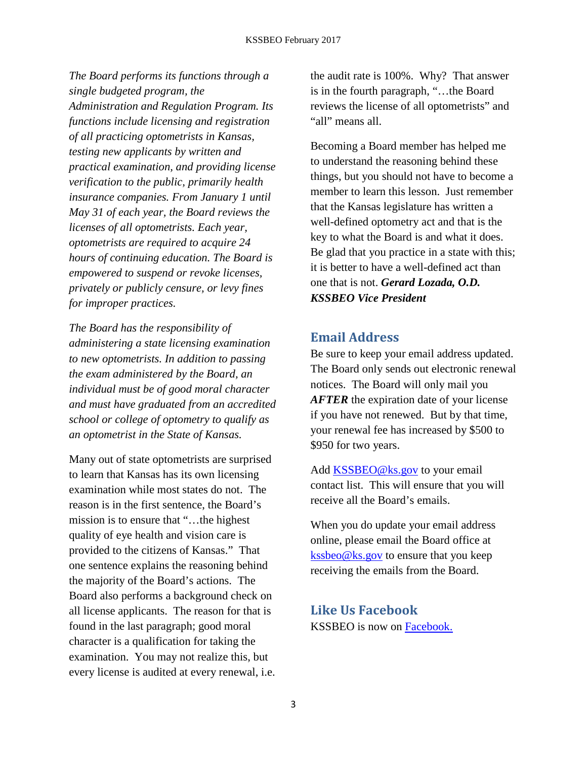*The Board performs its functions through a single budgeted program, the Administration and Regulation Program. Its functions include licensing and registration of all practicing optometrists in Kansas, testing new applicants by written and practical examination, and providing license verification to the public, primarily health insurance companies. From January 1 until May 31 of each year, the Board reviews the licenses of all optometrists. Each year, optometrists are required to acquire 24 hours of continuing education. The Board is empowered to suspend or revoke licenses, privately or publicly censure, or levy fines for improper practices.*

*The Board has the responsibility of administering a state licensing examination to new optometrists. In addition to passing the exam administered by the Board, an individual must be of good moral character and must have graduated from an accredited school or college of optometry to qualify as an optometrist in the State of Kansas.* 

Many out of state optometrists are surprised to learn that Kansas has its own licensing examination while most states do not. The reason is in the first sentence, the Board's mission is to ensure that "…the highest quality of eye health and vision care is provided to the citizens of Kansas." That one sentence explains the reasoning behind the majority of the Board's actions. The Board also performs a background check on all license applicants. The reason for that is found in the last paragraph; good moral character is a qualification for taking the examination. You may not realize this, but every license is audited at every renewal, i.e. the audit rate is 100%. Why? That answer is in the fourth paragraph, "…the Board reviews the license of all optometrists" and "all" means all.

Becoming a Board member has helped me to understand the reasoning behind these things, but you should not have to become a member to learn this lesson. Just remember that the Kansas legislature has written a well-defined optometry act and that is the key to what the Board is and what it does. Be glad that you practice in a state with this; it is better to have a well-defined act than one that is not. *Gerard Lozada, O.D. KSSBEO Vice President*

#### **Email Address**

Be sure to keep your email address updated. The Board only sends out electronic renewal notices. The Board will only mail you *AFTER* the expiration date of your license if you have not renewed. But by that time, your renewal fee has increased by \$500 to \$950 for two years.

Add [KSSBEO@ks.gov](mailto:KSSBEO@ks.gov) to your email contact list. This will ensure that you will receive all the Board's emails.

When you do update your email address online, please email the Board office at [kssbeo@ks.gov](mailto:kssbeo@ks.gov) to ensure that you keep receiving the emails from the Board.

# **Like Us Facebook**

KSSBEO is now on [Facebook.](https://www.facebook.com/KSSBEO/)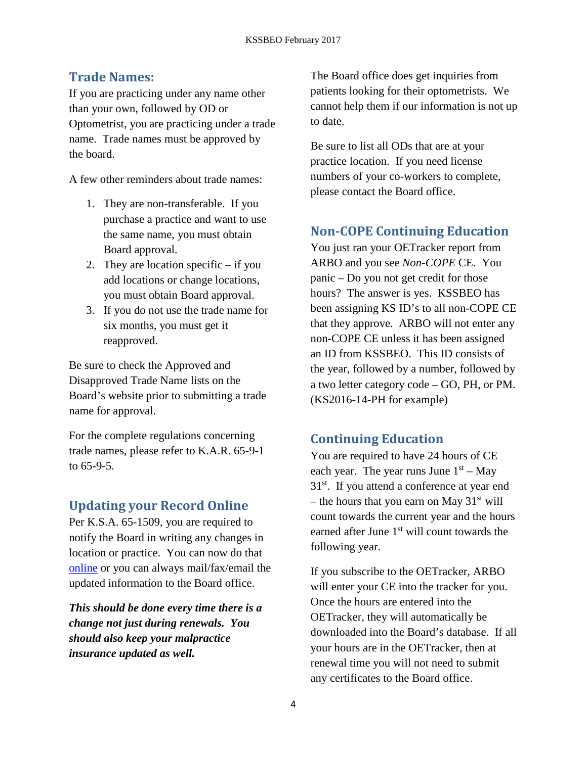## **Trade Names:**

If you are practicing under any name other than your own, followed by OD or Optometrist, you are practicing under a trade name. Trade names must be approved by the board.

A few other reminders about trade names:

- 1. They are non-transferable. If you purchase a practice and want to use the same name, you must obtain Board approval.
- 2. They are location specific if you add locations or change locations, you must obtain Board approval.
- 3. If you do not use the trade name for six months, you must get it reapproved.

Be sure to check the Approved and Disapproved Trade Name lists on the Board's website prior to submitting a trade name for approval.

For the complete regulations concerning trade names, please refer to K.A.R. 65-9-1 to 65-9-5.

## **Updating your Record Online**

Per K.S.A. 65-1509, you are required to notify the Board in writing any changes in location or practice. You can now do that [online](https://www.accesskansas.org/ssrv-optometry/login.html) or you can always mail/fax/email the updated information to the Board office.

*This should be done every time there is a change not just during renewals. You should also keep your malpractice insurance updated as well.*

The Board office does get inquiries from patients looking for their optometrists. We cannot help them if our information is not up to date.

Be sure to list all ODs that are at your practice location. If you need license numbers of your co-workers to complete, please contact the Board office.

## **Non-COPE Continuing Education**

You just ran your OETracker report from ARBO and you see *Non-COPE* CE. You panic – Do you not get credit for those hours? The answer is yes. KSSBEO has been assigning KS ID's to all non-COPE CE that they approve. ARBO will not enter any non-COPE CE unless it has been assigned an ID from KSSBEO. This ID consists of the year, followed by a number, followed by a two letter category code – GO, PH, or PM. (KS2016-14-PH for example)

## **Continuing Education**

You are required to have 24 hours of CE each year. The year runs June  $1<sup>st</sup> - May$ 31<sup>st</sup>. If you attend a conference at year end – the hours that you earn on May  $31<sup>st</sup>$  will count towards the current year and the hours earned after June 1<sup>st</sup> will count towards the following year.

If you subscribe to the OETracker, ARBO will enter your CE into the tracker for you. Once the hours are entered into the OETracker, they will automatically be downloaded into the Board's database. If all your hours are in the OETracker, then at renewal time you will not need to submit any certificates to the Board office.